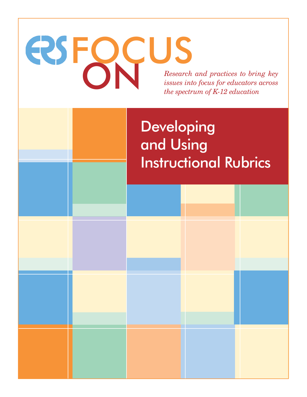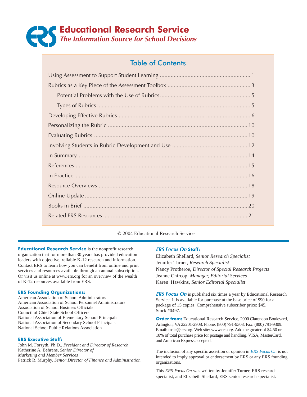

## Table of Contents

#### © 2004 Educational Research Service

**Educational Research Service** is the nonprofit research organization that for more than 30 years has provided education leaders with objective, reliable K-12 research and information. Contact ERS to learn how you can benefit from online and print services and resources available through an annual subscription. Or visit us online at www.ers.org for an overview of the wealth of K-12 resources available from ERS.

#### **ERS Founding Organizations:**

American Association of School Administrators American Association of School Personnel Administrators Association of School Business Officials Council of Chief State School Officers National Association of Elementary School Principals National Association of Secondary School Principals National School Public Relations Association

#### **ERS Executive Staff:**

John M. Forsyth, Ph.D., *President and Director of Research* Katherine A. Behrens, *Senior Director of Marketing and Member Services* Patrick R. Murphy, *Senior Director of Finance and Administration*

#### **ERS Focus On Staff:**

Elizabeth Shellard, *Senior Research Specialist* Jennifer Turner, *Research Specialist* Nancy Protheroe, *Director of Special Research Projects* Jeanne Chircop, *Manager, Editorial Services* Karen Hawkins, *Senior Editorial Specialist*

**ERS Focus On** is published six times a year by Educational Research Service. It is available for purchase at the base price of \$90 for a package of 15 copies. Comprehensive subscriber price: \$45. Stock #0497.

**Order from:** Educational Research Service, 2000 Clarendon Boulevard, Arlington, VA 22201-2908. Phone: (800) 791-9308. Fax: (800) 791-9309. Email: msic@ers.org. Web site: www.ers.org. Add the greater of \$4.50 or 10% of total purchase price for postage and handling. VISA, MasterCard, and American Express accepted.

The inclusion of any specific assertion or opinion in *ERS Focus On* is not intended to imply approval or endorsement by ERS or any ERS founding organizations.

This *ERS Focus On* was written by Jennifer Turner, ERS research specialist, and Elizabeth Shellard, ERS senior research specialist.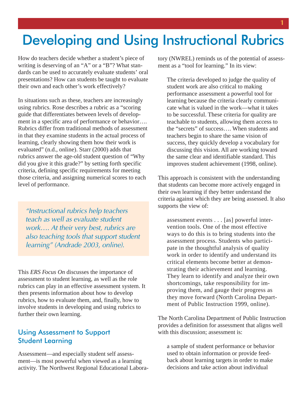# Developing and Using Instructional Rubrics

How do teachers decide whether a student's piece of writing is deserving of an "A" or a "B"? What standards can be used to accurately evaluate students' oral presentations? How can students be taught to evaluate their own and each other's work effectively?

In situations such as these, teachers are increasingly using rubrics. Rose describes a rubric as a "scoring guide that differentiates between levels of development in a specific area of performance or behavior…. Rubrics differ from traditional methods of assessment in that they examine students in the actual process of learning, clearly showing them how their work is evaluated" (n.d., online). Starr (2000) adds that rubrics answer the age-old student question of "Why did you give it this grade?" by setting forth specific criteria, defining specific requirements for meeting those criteria, and assigning numerical scores to each level of performance.

"Instructional rubrics help teachers teach as well as evaluate student work…. At their very best, rubrics are also teaching tools that support student learning" (Andrade 2003, online).

This *ERS Focus On* discusses the importance of assessment to student learning, as well as the role rubrics can play in an effective assessment system. It then presents information about how to develop rubrics, how to evaluate them, and, finally, how to involve students in developing and using rubrics to further their own learning.

## Using Assessment to Support Student Learning

Assessment—and especially student self assessment—is most powerful when viewed as a learning activity. The Northwest Regional Educational Laboratory (NWREL) reminds us of the potential of assessment as a "tool for learning." In its view:

The criteria developed to judge the quality of student work are also critical to making performance assessment a powerful tool for learning because the criteria clearly communicate what is valued in the work—what it takes to be successful. These criteria for quality are teachable to students, allowing them access to the "secrets" of success…. When students and teachers begin to share the same vision of success, they quickly develop a vocabulary for discussing this vision. All are working toward the same clear and identifiable standard. This improves student achievement (1998, online).

This approach is consistent with the understanding that students can become more actively engaged in their own learning if they better understand the criteria against which they are being assessed. It also supports the view of:

assessment events . . . [as] powerful intervention tools. One of the most effective ways to do this is to bring students into the assessment process. Students who participate in the thoughtful analysis of quality work in order to identify and understand its critical elements become better at demonstrating their achievement and learning. They learn to identify and analyze their own shortcomings, take responsibility for improving them, and gauge their progress as they move forward (North Carolina Department of Public Instruction 1999, online).

The North Carolina Department of Public Instruction provides a definition for assessment that aligns well with this discussion; assessment is:

a sample of student performance or behavior used to obtain information or provide feedback about learning targets in order to make decisions and take action about individual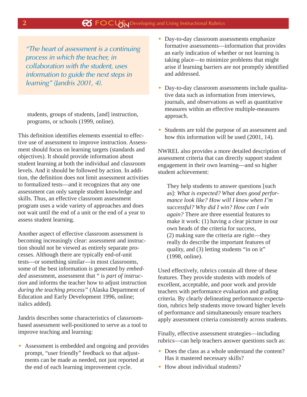"The heart of assessment is a continuing process in which the teacher, in collaboration with the student, uses information to guide the next steps in learning" (Jandris 2001, 4).

students, groups of students, [and] instruction, programs, or schools (1999, online).

This definition identifies elements essential to effective use of assessment to improve instruction. Assessment should focus on learning targets (standards and objectives). It should provide information about student learning at both the individual and classroom levels. And it should be followed by action. In addition, the definition does not limit assessment activities to formalized tests—and it recognizes that any one assessment can only sample student knowledge and skills. Thus, an effective classroom assessment program uses a wide variety of approaches and does not wait until the end of a unit or the end of a year to assess student learning.

Another aspect of effective classroom assessment is becoming increasingly clear: assessment and instruction should not be viewed as entirely separate processes. Although there are typically end-of-unit tests—or something similar—in most classrooms, some of the best information is generated by *embedded* assessment, assessment that " is *part of instruction* and informs the teacher how to adjust instruction *during the teaching process"* (Alaska Department of Education and Early Development 1996, online; italics added).

Jandris describes some characteristics of classroombased assessment well-positioned to serve as a tool to improve teaching and learning:

• Assessment is embedded and ongoing and provides prompt, "user friendly" feedback so that adjustments can be made as needed, not just reported at the end of each learning improvement cycle.

- Day-to-day classroom assessments emphasize formative assessments—information that provides an early indication of whether or not learning is taking place—to minimize problems that might arise if learning barriers are not promptly identified and addressed.
- Day-to-day classroom assessments include qualitative data such as information from interviews, journals, and observations as well as quantitative measures within an effective multiple-measures approach.
- Students are told the purpose of an assessment and how this information will be used (2001, 14).

NWREL also provides a more detailed description of assessment criteria that can directly support student engagement in their own learning—and so higher student achievement:

They help students to answer questions [such as]: *What is expected? What does good performance look like? How will I know when I'm successful? Why did I win? How can I win again?* There are three essential features to make it work: (1) having a clear picture in our own heads of the criteria for success, (2) making sure the criteria are right—they really do describe the important features of quality, and (3) letting students "in on it" (1998, online).

Used effectively, rubrics contain all three of these features. They provide students with models of excellent, acceptable, and poor work and provide teachers with performance evaluation and grading criteria. By clearly delineating performance expectation, rubrics help students move toward higher levels of performance and simultaneously ensure teachers apply assessment criteria consistently across students.

Finally, effective assessment strategies—including rubrics—can help teachers answer questions such as:

- Does the class as a whole understand the content? Has it mastered necessary skills?
- How about individual students?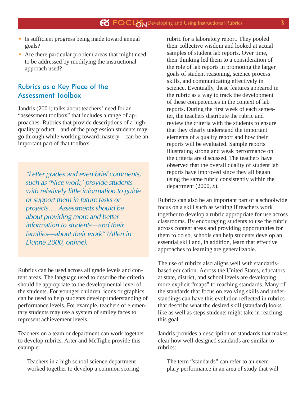- Is sufficient progress being made toward annual goals?
- Are there particular problem areas that might need to be addressed by modifying the instructional approach used?

## Rubrics as a Key Piece of the Assessment Toolbox

Jandris (2001) talks about teachers' need for an "assessment toolbox" that includes a range of approaches. Rubrics that provide descriptions of a highquality product—and of the progression students may go through while working toward mastery—can be an important part of that toolbox.

"Letter grades and even brief comments, such as 'Nice work,' provide students with relatively little information to guide or support them in future tasks or projects…. Assessments should be about providing more and better information to students—and their families—about their work" (Allen in Dunne 2000, online).

Rubrics can be used across all grade levels and content areas. The language used to describe the criteria should be appropriate to the developmental level of the students. For younger children, icons or graphics can be used to help students develop understanding of performance levels. For example, teachers of elementary students may use a system of smiley faces to represent achievement levels.

Teachers on a team or department can work together to develop rubrics. Arter and McTighe provide this example:

Teachers in a high school science department worked together to develop a common scoring rubric for a laboratory report. They pooled their collective wisdom and looked at actual samples of student lab reports. Over time, their thinking led them to a consideration of the role of lab reports in promoting the larger goals of student reasoning, science process skills, and communicating effectively in science. Eventually, these features appeared in the rubric as a way to track the development of these competencies in the context of lab reports. During the first week of each semester, the teachers distribute the rubric and review the criteria with the students to ensure that they clearly understand the important elements of a quality report and how their reports will be evaluated. Sample reports illustrating strong and weak performance on the criteria are discussed. The teachers have observed that the overall quality of student lab reports have improved since they all began using the same rubric consistently within the department (2000, *x*).

Rubrics can also be an important part of a schoolwide focus on a skill such as writing if teachers work together to develop a rubric appropriate for use across classrooms. By encouraging students to use the rubric across content areas and providing opportunities for them to do so, schools can help students develop an essential skill and, in addition, learn that effective approaches to learning are generalizable.

The use of rubrics also aligns well with standardsbased education. Across the United States, educators at state, district, and school levels are developing more explicit "maps" to reaching standards. Many of the standards that focus on evolving skills and understandings can have this evolution reflected in rubrics that describe what the desired skill (standard) looks like as well as steps students might take in reaching this goal.

Jandris provides a description of standards that makes clear how well-designed standards are similar to rubrics:

The term "standards" can refer to an exemplary performance in an area of study that will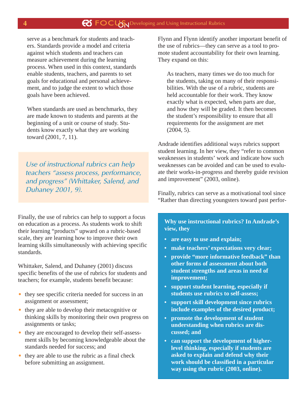serve as a benchmark for students and teachers. Standards provide a model and criteria against which students and teachers can measure achievement during the learning process. When used in this context, standards enable students, teachers, and parents to set goals for educational and personal achievement, and to judge the extent to which those goals have been achieved.

When standards are used as benchmarks, they are made known to students and parents at the beginning of a unit or course of study. Students know exactly what they are working toward (2001, 7, 11).

Use of instructional rubrics can help teachers "assess process, performance, and progress" (Whittaker, Salend, and Duhaney 2001, 9).

Finally, the use of rubrics can help to support a focus on education as a process. As students work to shift their learning "products" upward on a rubric-based scale, they are learning how to improve their own learning skills simultaneously with achieving specific standards.

Whittaker, Salend, and Duhaney (2001) discuss specific benefits of the use of rubrics for students and teachers; for example, students benefit because:

- they see specific criteria needed for success in an assignment or assessment;
- they are able to develop their metacognitive or thinking skills by monitoring their own progress on assignments or tasks;
- they are encouraged to develop their self-assessment skills by becoming knowledgeable about the standards needed for success; and
- they are able to use the rubric as a final check before submitting an assignment.

Flynn and Flynn identify another important benefit of the use of rubrics—they can serve as a tool to promote student accountability for their own learning. They expand on this:

As teachers, many times we do too much for the students, taking on many of their responsibilities. With the use of a rubric, students are held accountable for their work. They know exactly what is expected, when parts are due, and how they will be graded. It then becomes the student's responsibility to ensure that all requirements for the assignment are met (2004, 5).

Andrade identifies additional ways rubrics support student learning. In her view, they "refer to common weaknesses in students' work and indicate how such weaknesses can be avoided and can be used to evaluate their works-in-progress and thereby guide revision and improvement" (2003, online).

Finally, rubrics can serve as a motivational tool since "Rather than directing youngsters toward past perfor-

## **Why use instructional rubrics? In Andrade's view, they**

- **are easy to use and explain;**
- **make teachers' expectations very clear;**
- **provide "more informative feedback" than other forms of assessment about both student strengths and areas in need of improvement;**
- **• support student learning, especially if students use rubrics to self-assess;**
- **• support skill development since rubrics include examples of the desired product;**
- **promote the development of student understanding when rubrics are discussed; and**
- **• can support the development of higherlevel thinking, especially if students are asked to explain and defend why their work should be classified in a particular way using the rubric (2003, online).**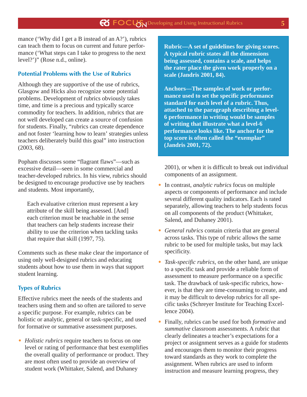mance ('Why did I get a B instead of an A?'), rubrics can teach them to focus on current and future performance ('What steps can I take to progress to the next level?')" (Rose n.d., online).

## **Potential Problems with the Use of Rubrics**

Although they are supportive of the use of rubrics, Glasgow and Hicks also recognize some potential problems. Development of rubrics obviously takes time, and time is a precious and typically scarce commodity for teachers. In addition, rubrics that are not well developed can create a source of confusion for students. Finally, "rubrics can create dependence and not foster 'learning how to learn' strategies unless teachers deliberately build this goal" into instruction (2003, 68).

Popham discusses some "flagrant flaws"—such as excessive detail—seen in some commercial and teacher-developed rubrics. In his view, rubrics should be designed to encourage productive use by teachers and students. Most importantly,

Each evaluative criterion must represent a key attribute of the skill being assessed. [And] each criterion must be teachable in the sense that teachers can help students increase their ability to use the criterion when tackling tasks that require that skill (1997, 75).

Comments such as these make clear the importance of using only well-designed rubrics and educating students about how to use them in ways that support student learning.

### **Types of Rubrics**

Effective rubrics meet the needs of the students and teachers using them and so often are tailored to serve a specific purpose. For example, rubrics can be holistic or analytic, general or task-specific, and used for formative or summative assessment purposes.

• *Holistic rubrics* require teachers to focus on one level or rating of performance that best exemplifies the overall quality of performance or product. They are most often used to provide an overview of student work (Whittaker, Salend, and Duhaney

**Rubric—A set of guidelines for giving scores. A typical rubric states all the dimensions being assessed, contains a scale, and helps the rater place the given work properly on a scale (Jandris 2001, 84).**

**Anchors—The samples of work or performance used to set the specific performance standard for each level of a rubric. Thus, attached to the paragraph describing a level-6 performance in writing would be samples of writing that illustrate what a level-6 performance looks like. The anchor for the top score is often called the "exemplar" (Jandris 2001, 72).**

2001), or when it is difficult to break out individual components of an assignment.

- In contrast, *analytic rubrics* focus on multiple aspects or components of performance and include several different quality indicators. Each is rated separately, allowing teachers to help students focus on all components of the product (Whittaker, Salend, and Duhaney 2001).
- *General rubrics* contain criteria that are general across tasks. This type of rubric allows the same rubric to be used for multiple tasks, but may lack specificity.
- *Task-specific rubrics,* on the other hand, are unique to a specific task and provide a reliable form of assessment to measure performance on a specific task. The drawback of task-specific rubrics, however, is that they are time-consuming to create, and it may be difficult to develop rubrics for all specific tasks (Schreyer Institute for Teaching Excellence 2004).
- Finally, rubrics can be used for both *formative* and *summative* classroom assessments. A rubric that clearly delineates a teacher's expectations for a project or assignment serves as a guide for students and encourages them to monitor their progress toward standards as they work to complete the assignment. When rubrics are used to inform instruction and measure learning progress, they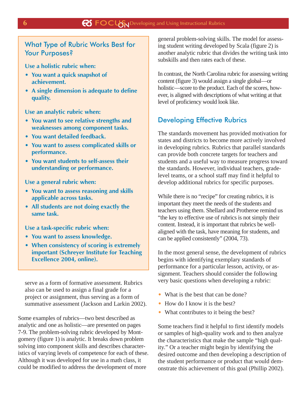## What Type of Rubric Works Best for Your Purposes?

**Use a holistic rubric when:**

- **You want a quick snapshot of achievement.**
- **A single dimension is adequate to define quality.**

**Use an analytic rubric when:**

- **You want to see relative strengths and weaknesses among component tasks.**
- **You want detailed feedback.**
- **You want to assess complicated skills or performance.**
- **You want students to self-assess their understanding or performance.**

**Use a general rubric when:**

- **You want to assess reasoning and skills applicable across tasks.**
- **All students are not doing exactly the same task.**

**Use a task-specific rubric when:**

- **You want to assess knowledge.**
- **When consistency of scoring is extremely important (Schreyer Institute for Teaching Excellence 2004, online).**

serve as a form of formative assessment. Rubrics also can be used to assign a final grade for a project or assignment, thus serving as a form of summative assessment (Jackson and Larkin 2002).

Some examples of rubrics—two best described as analytic and one as holistic—are presented on pages 7-9. The problem-solving rubric developed by Montgomery (figure 1) is analytic. It breaks down problem solving into component skills and describes characteristics of varying levels of competence for each of these. Although it was developed for use in a math class, it could be modified to address the development of more

general problem-solving skills. The model for assessing student writing developed by Scala (figure 2) is another analytic rubric that divides the writing task into subskills and then rates each of these.

In contrast, the North Carolina rubric for assessing writing content (figure 3) would assign a single global—or holistic—score to the product. Each of the scores, however, is aligned with descriptions of what writing at that level of proficiency would look like.

## Developing Effective Rubrics

The standards movement has provided motivation for states and districts to become more actively involved in developing rubrics. Rubrics that parallel standards can provide both concrete targets for teachers and students and a useful way to measure progress toward the standards. However, individual teachers, gradelevel teams, or a school staff may find it helpful to develop additional rubrics for specific purposes.

While there is no "recipe" for creating rubrics, it is important they meet the needs of the students and teachers using them. Shellard and Protheroe remind us "the key to effective use of rubrics is not simply their content. Instead, it is important that rubrics be wellaligned with the task, have meaning for students, and can be applied consistently" (2004, 73).

In the most general sense, the development of rubrics begins with identifying exemplary standards of performance for a particular lesson, activity, or assignment. Teachers should consider the following very basic questions when developing a rubric:

- What is the best that can be done?
- How do I know it is the best?
- What contributes to it being the best?

Some teachers find it helpful to first identify models or samples of high-quality work and to then analyze the characteristics that make the sample "high quality." Or a teacher might begin by identifying the desired outcome and then developing a description of the student performance or product that would demonstrate this achievement of this goal (Phillip 2002).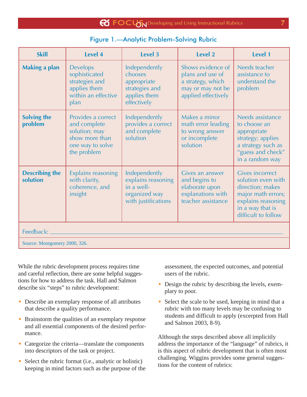| $\bigotimes$ $\bigotimes$ $\bigcup$ $\bigcup$ $\bigotimes$ $\bigcup$ $\bigotimes$ $\bigotimes$ $\bigotimes$ $\bigotimes$ $\bigotimes$ $\bigotimes$ $\bigotimes$ $\bigotimes$ $\bigotimes$ $\bigotimes$ $\bigotimes$ $\bigotimes$ $\bigotimes$ $\bigotimes$ $\bigotimes$ $\bigotimes$ $\bigotimes$ $\bigotimes$ $\bigotimes$ $\bigotimes$ $\bigotimes$ $\bigotimes$ $\bigotimes$ $\bigotimes$ $\bigotimes$ $\bigotimes$ |  |
|------------------------------------------------------------------------------------------------------------------------------------------------------------------------------------------------------------------------------------------------------------------------------------------------------------------------------------------------------------------------------------------------------------------------|--|
|                                                                                                                                                                                                                                                                                                                                                                                                                        |  |
|                                                                                                                                                                                                                                                                                                                                                                                                                        |  |

| <b>Figure 1.-Analytic Problem-Solving Rubric</b> |  |  |
|--------------------------------------------------|--|--|
|                                                  |  |  |

| <b>Skill</b>                      | Level 4                                                                                                  | <b>Level 3</b>                                                                            | Level 2                                                                                                | Level 1                                                                                                                                                 |  |
|-----------------------------------|----------------------------------------------------------------------------------------------------------|-------------------------------------------------------------------------------------------|--------------------------------------------------------------------------------------------------------|---------------------------------------------------------------------------------------------------------------------------------------------------------|--|
| <b>Making a plan</b>              | <b>Develops</b><br>sophisticated<br>strategies and<br>applies them<br>within an effective<br>plan        | Independently<br>chooses<br>appropriate<br>strategies and<br>applies them<br>effectively  | Shows evidence of<br>plans and use of<br>a strategy, which<br>may or may not be<br>applied effectively | Needs teacher<br>assistance to<br>understand the<br>problem                                                                                             |  |
| <b>Solving the</b><br>problem     | Provides a correct<br>and complete<br>solution; may<br>show more than<br>one way to solve<br>the problem | Independently<br>provides a correct<br>and complete<br>solution                           | Makes a minor<br>math error leading<br>to wrong answer<br>or incomplete<br>solution                    | Needs assistance<br>to choose an<br>appropriate<br>strategy; applies<br>a strategy such as<br>"guess and check"<br>in a random way                      |  |
| <b>Describing the</b><br>solution | <b>Explains reasoning</b><br>with clarity,<br>coherence, and<br>insight                                  | Independently<br>explains reasoning<br>in a well-<br>organized way<br>with justifications | Gives an answer<br>and begins to<br>elaborate upon<br>explanations with<br>teacher assistance          | <b>Gives incorrect</b><br>solution even with<br>direction; makes<br>major math errors;<br>explains reasoning<br>in a way that is<br>difficult to follow |  |
| Feedback:                         |                                                                                                          |                                                                                           |                                                                                                        |                                                                                                                                                         |  |
| Source: Montgomery 2000, 326.     |                                                                                                          |                                                                                           |                                                                                                        |                                                                                                                                                         |  |

While the rubric development process requires time and careful reflection, there are some helpful suggestions for how to address the task. Hall and Salmon describe six "steps" to rubric development:

- Describe an exemplary response of all attributes that describe a quality performance.
- Brainstorm the qualities of an exemplary response and all essential components of the desired performance.
- Categorize the criteria—translate the components into descriptors of the task or project.
- Select the rubric format (i.e., analytic or holistic) keeping in mind factors such as the purpose of the

assessment, the expected outcomes, and potential users of the rubric.

- Design the rubric by describing the levels, exemplary to poor.
- Select the scale to be used, keeping in mind that a rubric with too many levels may be confusing to students and difficult to apply (excerpted from Hall and Salmon 2003, 8-9).

Although the steps described above all implicitly address the importance of the "language" of rubrics, it is this aspect of rubric development that is often most challenging. Wiggins provides some general suggestions for the content of rubrics: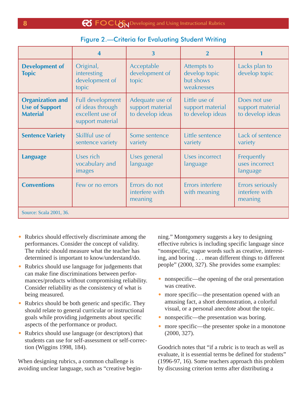| <b>Figure 2.-Criteria for Evaluating Student Writing</b> |  |  |
|----------------------------------------------------------|--|--|
|                                                          |  |  |

|                                                                     | $\overline{\mathbf{4}}$                                                      | $\overline{3}$                                          | $\overline{2}$                                          |                                                      |  |  |
|---------------------------------------------------------------------|------------------------------------------------------------------------------|---------------------------------------------------------|---------------------------------------------------------|------------------------------------------------------|--|--|
| <b>Development of</b><br><b>Topic</b>                               | Original,<br>interesting<br>development of<br>topic                          | Acceptable<br>development of<br>topic                   | Attempts to<br>develop topic<br>but shows<br>weaknesses | Lacks plan to<br>develop topic                       |  |  |
| <b>Organization and</b><br><b>Use of Support</b><br><b>Material</b> | Full development<br>of ideas through<br>excellent use of<br>support material | Adequate use of<br>support material<br>to develop ideas | Little use of<br>support material<br>to develop ideas   | Does not use<br>support material<br>to develop ideas |  |  |
| <b>Sentence Variety</b>                                             | Skillful use of<br>sentence variety                                          | Some sentence<br>variety                                | Little sentence<br>variety                              | Lack of sentence<br>variety                          |  |  |
| <b>Language</b>                                                     | Uses rich<br>vocabulary and<br>images                                        | Uses general<br>language                                | <b>Uses incorrect</b><br>language                       | Frequently<br>uses incorrect<br>language             |  |  |
| <b>Conventions</b>                                                  | Few or no errors                                                             | Errors do not<br>interfere with<br>meaning              | Errors interfere<br>with meaning                        | Errors seriously<br>interfere with<br>meaning        |  |  |
| Source: Scala 2001, 36.                                             |                                                                              |                                                         |                                                         |                                                      |  |  |

- Rubrics should effectively discriminate among the performances. Consider the concept of validity. The rubric should measure what the teacher has determined is important to know/understand/do.
- Rubrics should use language for judgements that can make fine discriminations between performances/products without compromising reliability. Consider reliability as the consistency of what is being measured.
- Rubrics should be both generic and specific. They should relate to general curricular or instructional goals while providing judgements about specific aspects of the performance or product.
- Rubrics should use language (or descriptors) that students can use for self-assessment or self-correction (Wiggins 1998, 184).

When designing rubrics, a common challenge is avoiding unclear language, such as "creative beginning." Montgomery suggests a key to designing effective rubrics is including specific language since "nonspecific, vague words such as creative, interesting, and boring . . . mean different things to different people" (2000, 327). She provides some examples:

- nonspecific—the opening of the oral presentation was creative.
- more specific—the presentation opened with an amusing fact, a short demonstration, a colorful visual, or a personal anecdote about the topic.
- nonspecific—the presentation was boring.
- more specific—the presenter spoke in a monotone (2000, 327).

Goodrich notes that "if a rubric is to teach as well as evaluate, it is essential terms be defined for students" (1996-97, 16). Some teachers approach this problem by discussing criterion terms after distributing a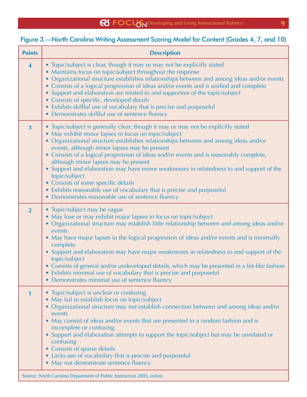## Figure 3.—North Carolina Writing Assessment Scoring Model for Content (Grades 4, 7, and 10)

| <b>Points</b>           | <b>Description</b>                                                                                                                                                                                                                                                                                                                                                                                                                                                                                                                                                                                                                                                                                  |
|-------------------------|-----------------------------------------------------------------------------------------------------------------------------------------------------------------------------------------------------------------------------------------------------------------------------------------------------------------------------------------------------------------------------------------------------------------------------------------------------------------------------------------------------------------------------------------------------------------------------------------------------------------------------------------------------------------------------------------------------|
| $\overline{\mathbf{4}}$ | • Topic/subject is clear, though it may or may not be explicitly stated<br>• Maintains focus on topic/subject throughout the response<br>• Organizational structure establishes relationships between and among ideas and/or events<br>• Consists of a logical progression of ideas and/or events and is unified and complete<br>• Support and elaboration are related to and supportive of the topic/subject<br>• Consists of specific, developed details<br>• Exhibits skillful use of vocabulary that is precise and purposeful<br>• Demonstrates skillful use of sentence fluency                                                                                                               |
| $\overline{3}$          | • Topic/subject is generally clear, though it may or may not be explicitly stated<br>• May exhibit minor lapses in focus on topic/subject<br>· Organizational structure establishes relationships between and among ideas and/or<br>events, although minor lapses may be present<br>• Consists of a logical progression of ideas and/or events and is reasonably complete,<br>although minor lapses may be present<br>Support and elaboration may have minor weaknesses in relatedness to and support of the<br>topic/subject<br>• Consists of some specific details<br>• Exhibits reasonable use of vocabulary that is precise and purposeful<br>• Demonstrates reasonable use of sentence fluency |
| $\overline{2}$          | • Topic/subject may be vague<br>• May lose or may exhibit major lapses in focus on topic/subject<br>• Organizational structure may establish little relationship between and among ideas and/or<br>events<br>• May have major lapses in the logical progression of ideas and/or events and is minimally<br>complete<br>• Support and elaboration may have major weaknesses in relatedness to and support of the<br>topic/subject<br>• Consists of general and/or undeveloped details, which may be presented in a list-like fashion<br>• Exhibits minimal use of vocabulary that is precise and purposeful<br>• Demonstrates minimal use of sentence fluency                                        |
| 1                       | • Topic/subject is unclear or confusing<br>May fail to establish focus on topic/subject<br>• Organizational structure may not establish connection between and among ideas and/or<br>events<br>• May consist of ideas and/or events that are presented in a random fashion and is<br>incomplete or confusing<br>Support and elaboration attempts to support the topic/subject but may be unrelated or<br>confusing<br>• Consists of sparse details<br>• Lacks use of vocabulary that is precise and purposeful<br>• May not demonstrate sentence fluency                                                                                                                                            |
|                         | Source: North Carolina Department of Public Instruction 2003, online.                                                                                                                                                                                                                                                                                                                                                                                                                                                                                                                                                                                                                               |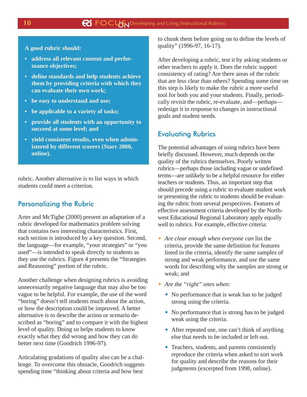**A good rubric should:**

- **address all relevant content and performance objectives;**
- **• define standards and help students achieve them by providing criteria with which they can evaluate their own work;**
- **• be easy to understand and use;**
- **• be applicable to a variety of tasks;**
- **provide all students with an opportunity to succeed at some level; and**
- **• yield consistent results, even when administered by different scorers (Starr 2000, online).**

rubric. Another alternative is to list ways in which students could meet a criterion.

## Personalizing the Rubric

Arter and McTighe (2000) present an adaptation of a rubric developed for mathematics problem solving that contains two interesting characteristics. First, each section is introduced by a key question. Second, the language—for example, "your strategies" or "you used"—is intended to speak directly to students as they use the rubrics. Figure 4 presents the "Strategies and Reasoning" portion of the rubric.

Another challenge when designing rubrics is avoiding unnecessarily negative language that may also be too vague to be helpful. For example, the use of the word "boring" doesn't tell students much about the action, or how the description could be improved. A better alternative is to describe the action or scenario described as "boring" and to compare it with the highest level of quality. Doing so helps students to know exactly what they did wrong and how they can do better next time (Goodrich 1996-97).

Articulating gradations of quality also can be a challenge. To overcome this obstacle, Goodrich suggests spending time "thinking about criteria and how best

to chunk them before going on to define the levels of quality" (1996-97, 16-17).

After developing a rubric, test it by asking students or other teachers to apply it. Does the rubric support consistency of rating? Are there areas of the rubric that are less clear than others? Spending some time on this step is likely to make the rubric a more useful tool for both you and your students. Finally, periodically revisit the rubric, re-evaluate, and—perhaps redesign it in response to changes in instructional goals and student needs.

## Evaluating Rubrics

The potential advantages of using rubrics have been briefly discussed. However, much depends on the quality of the rubrics themselves. Poorly written rubrics—perhaps those including vague or undefined terms—are unlikely to be a helpful resource for either teachers or students. Thus, an important step that should precede using a rubric to evaluate student work or presenting the rubric to students should be evaluating the rubric from several perspectives. Features of effective assessment criteria developed by the Northwest Educational Regional Laboratory apply equally well to rubrics. For example, effective criteria:

- *Are clear enough when everyone can* list the criteria, provide the same definition for features listed in the criteria, identify the same samples of strong and weak performance, and use the same words for describing why the samples are strong or weak; and
- *Are the "right" ones when:*
	- No performance that is weak has to be judged strong using the criteria.
	- No performance that is strong has to be judged weak using the criteria.
	- After repeated use, one can't think of anything else that needs to be included or left out.
	- Teachers, students, and parents consistently reproduce the criteria when asked to sort work for quality and describe the reasons for their judgments (excerpted from 1998, online).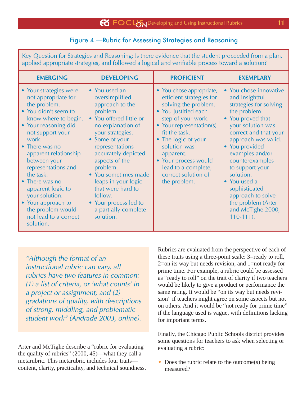## Figure 4.—Rubric for Assessing Strategies and Reasoning

Key Question for Strategies and Reasoning: Is there evidence that the student proceeded from a plan, applied appropriate strategies, and followed a logical and verifiable process toward a solution?

| <b>EMERGING</b>                                                                                                                                                                                                                                                                                                                                                                                             | <b>DEVELOPING</b>                                                                                                                                                                                                                                                                                                                                                         | <b>PROFICIENT</b>                                                                                                                                                                                                                                                                                                 | <b>EXEMPLARY</b>                                                                                                                                                                                                                                                                                                                                                                     |
|-------------------------------------------------------------------------------------------------------------------------------------------------------------------------------------------------------------------------------------------------------------------------------------------------------------------------------------------------------------------------------------------------------------|---------------------------------------------------------------------------------------------------------------------------------------------------------------------------------------------------------------------------------------------------------------------------------------------------------------------------------------------------------------------------|-------------------------------------------------------------------------------------------------------------------------------------------------------------------------------------------------------------------------------------------------------------------------------------------------------------------|--------------------------------------------------------------------------------------------------------------------------------------------------------------------------------------------------------------------------------------------------------------------------------------------------------------------------------------------------------------------------------------|
| • Your strategies were<br>not appropriate for<br>the problem.<br>• You didn't seem to<br>know where to begin.<br>• Your reasoning did<br>not support your<br>work.<br>• There was no<br>apparent relationship<br>between your<br>representations and<br>the task.<br>• There was no<br>apparent logic to<br>your solution.<br>• Your approach to<br>the problem would<br>not lead to a correct<br>solution. | • You used an<br>oversimplified<br>approach to the<br>problem.<br>• You offered little or<br>no explanation of<br>your strategies.<br>• Some of your<br>representations<br>accurately depicted<br>aspects of the<br>problem.<br>• You sometimes made<br>leaps in your logic<br>that were hard to<br>follow.<br>• Your process led to<br>a partially complete<br>solution. | • You chose appropriate,<br>efficient strategies for<br>solving the problem.<br>• You justified each<br>step of your work.<br>• Your representation(s)<br>fit the task.<br>• The logic of your<br>solution was<br>apparent.<br>• Your process would<br>lead to a complete,<br>correct solution of<br>the problem. | • You chose innovative<br>and insightful<br>strategies for solving<br>the problem.<br>• You proved that<br>your solution was<br>correct and that your<br>approach was valid.<br>• You provided<br>examples and/or<br>counterexamples<br>to support your<br>solution.<br>• You used a<br>sophisticated<br>approach to solve<br>the problem (Arter<br>and McTighe 2000,<br>$110-111$ . |

"Although the format of an instructional rubric can vary, all rubrics have two features in common: (1) a list of criteria, or 'what counts' in a project or assignment; and (2) gradations of quality, with descriptions of strong, middling, and problematic student work" (Andrade 2003, online).

Arter and McTighe describe a "rubric for evaluating the quality of rubrics" (2000, 45)—what they call a metarubric. This metarubric includes four traits content, clarity, practicality, and technical soundness. Rubrics are evaluated from the perspective of each of these traits using a three-point scale: 3=ready to roll, 2=on its way but needs revision, and 1=not ready for prime time. For example, a rubric could be assessed as "ready to roll" on the trait of clarity if two teachers would be likely to give a product or performance the same rating. It would be "on its way but needs revision" if teachers might agree on some aspects but not on others. And it would be "not ready for prime time" if the language used is vague, with definitions lacking for important terms.

Finally, the Chicago Public Schools district provides some questions for teachers to ask when selecting or evaluating a rubric:

• Does the rubric relate to the outcome(s) being measured?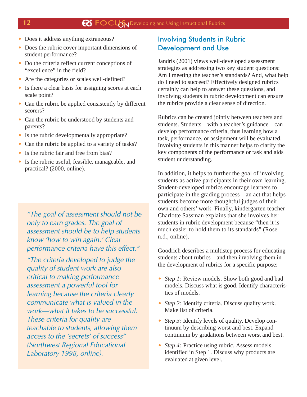- Does it address anything extraneous?
- Does the rubric cover important dimensions of student performance?
- Do the criteria reflect current conceptions of "excellence" in the field?
- Are the categories or scales well-defined?
- Is there a clear basis for assigning scores at each scale point?
- Can the rubric be applied consistently by different scorers?
- Can the rubric be understood by students and parents?
- Is the rubric developmentally appropriate?
- Can the rubric be applied to a variety of tasks?
- Is the rubric fair and free from bias?
- Is the rubric useful, feasible, manageable, and practical? (2000, online).

"The goal of assessment should not be only to earn grades. The goal of assessment should be to help students know 'how to win again.' Clear performance criteria have this effect."

"The criteria developed to judge the quality of student work are also critical to making performance assessment a powerful tool for learning because the criteria clearly communicate what is valued in the work—what it takes to be successful. These criteria for quality are teachable to students, allowing them access to the 'secrets' of success" (Northwest Regional Educational Laboratory 1998, online).

## Involving Students in Rubric Development and Use

Jandris (2001) views well-developed assessment strategies as addressing two key student questions: Am I meeting the teacher's standards? And, what help do I need to succeed? Effectively designed rubrics certainly can help to answer these questions, and involving students in rubric development can ensure the rubrics provide a clear sense of direction.

Rubrics can be created jointly between teachers and students. Students—with a teacher's guidance—can develop performance criteria, thus learning how a task, performance, or assignment will be evaluated. Involving students in this manner helps to clarify the key components of the performance or task and aids student understanding.

In addition, it helps to further the goal of involving students as active participants in their own learning. Student-developed rubrics encourage learners to participate in the grading process—an act that helps students become more thoughtful judges of their own and others' work. Finally, kindergarten teacher Charlotte Sassman explains that she involves her students in rubric development because "then it is much easier to hold them to its standards" (Rose n.d., online).

Goodrich describes a multistep process for educating students about rubrics—and then involving them in the development of rubrics for a specific purpose:

- *Step 1:* Review models. Show both good and bad models. Discuss what is good. Identify characteristics of models.
- *Step 2:* Identify criteria. Discuss quality work. Make list of criteria.
- *Step 3:* Identify levels of quality. Develop continuum by describing worst and best. Expand continuum by gradations between worst and best.
- *Step 4:* Practice using rubric. Assess models identified in Step 1. Discuss why products are evaluated at given level.

#### **12**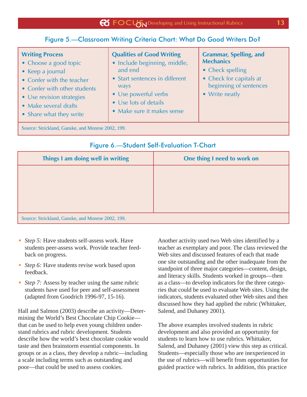## Figure 5.—Classroom Writing Criteria Chart: What Do Good Writers Do?

#### **Writing Process** • Choose a good topic • Keep a journal • Confer with the teacher • Confer with other students • Use revision strategies • Make several drafts • Share what they write **Qualities of Good Writing** • Include beginning, middle, and end • Start sentences in different ways • Use powerful verbs • Use lots of details • Make sure it makes sense **Grammar, Spelling, and Mechanics** • Check spelling • Check for capitals at beginning of sentences • Write neatly

Source: Strickland, Ganske, and Monroe 2002, 199.

| Things I am doing well in writing                 | One thing I need to work on |  |  |  |
|---------------------------------------------------|-----------------------------|--|--|--|
|                                                   |                             |  |  |  |
|                                                   |                             |  |  |  |
|                                                   |                             |  |  |  |
|                                                   |                             |  |  |  |
| Source: Strickland, Ganske, and Monroe 2002, 199. |                             |  |  |  |

## Figure 6.—Student Self-Evaluation T-Chart

- *Step 5:* Have students self-assess work. Have students peer-assess work. Provide teacher feedback on progress.
- *Step 6:* Have students revise work based upon feedback.
- *Step 7:* Assess by teacher using the same rubric students have used for peer and self-assessment (adapted from Goodrich 1996-97, 15-16).

Hall and Salmon (2003) describe an activity—Determining the World's Best Chocolate Chip Cookie that can be used to help even young children understand rubrics and rubric development. Students describe how the world's best chocolate cookie would taste and then brainstorm essential components. In groups or as a class, they develop a rubric—including a scale including terms such as outstanding and poor—that could be used to assess cookies.

Another activity used two Web sites identified by a teacher as exemplary and poor. The class reviewed the Web sites and discussed features of each that made one site outstanding and the other inadequate from the standpoint of three major categories—content, design, and literacy skills. Students worked in groups—then as a class—to develop indicators for the three categories that could be used to evaluate Web sites. Using the indicators, students evaluated other Web sites and then discussed how they had applied the rubric (Whittaker, Salend, and Duhaney 2001).

The above examples involved students in rubric development and also provided an opportunity for students to learn how to use rubrics. Whittaker, Salend, and Duhaney (2001) view this step as critical. Students—especially those who are inexperienced in the use of rubrics—will benefit from opportunities for guided practice with rubrics. In addition, this practice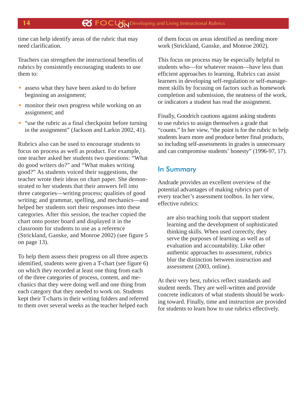time can help identify areas of the rubric that may need clarification.

Teachers can strengthen the instructional benefits of rubrics by consistently encouraging students to use them to:

- assess what they have been asked to do before beginning an assignment;
- monitor their own progress while working on an assignment; and
- "use the rubric as a final checkpoint before turning in the assignment" (Jackson and Larkin 2002, 41).

Rubrics also can be used to encourage students to focus on process as well as product. For example, one teacher asked her students two questions: "What do good writers do?" and "What makes writing good?" As students voiced their suggestions, the teacher wrote their ideas on chart paper. She demonstrated to her students that their answers fell into three categories—writing process; qualities of good writing; and grammar, spelling, and mechanics—and helped her students sort their responses into these categories. After this session, the teacher copied the chart onto poster board and displayed it in the classroom for students to use as a reference (Strickland, Ganske, and Monroe 2002) (see figure 5 on page 13).

To help them assess their progress on all three aspects identified, students were given a T-chart (see figure 6) on which they recorded at least one thing from each of the three categories of process, content, and mechanics that they were doing well and one thing from each category that they needed to work on. Students kept their T-charts in their writing folders and referred to them over several weeks as the teacher helped each

of them focus on areas identified as needing more work (Strickland, Ganske, and Monroe 2002).

This focus on process may be especially helpful to students who—for whatever reason—have less than efficient approaches to learning. Rubrics can assist learners in developing self-regulation or self-management skills by focusing on factors such as homework completion and submission, the neatness of the work, or indicators a student has read the assignment.

Finally, Goodrich cautions against asking students to use rubrics to assign themselves a grade that "counts." In her view, "the point is for the rubric to help students learn more and produce better final products, so including self-assessments in grades is unnecessary and can compromise students' honesty" (1996-97, 17).

## In Summary

Andrade provides an excellent overview of the potential advantages of making rubrics part of every teacher's assessment toolbox. In her view, effective rubrics:

are also teaching tools that support student learning and the development of sophisticated thinking skills. When used correctly, they serve the purposes of learning as well as of evaluation and accountability. Like other authentic approaches to assessment, rubrics blur the distinction between instruction and assessment (2003, online).

At their very best, rubrics reflect standards and student needs. They are well-written and provide concrete indicators of what students should be working toward. Finally, time and instruction are provided for students to learn how to use rubrics effectively.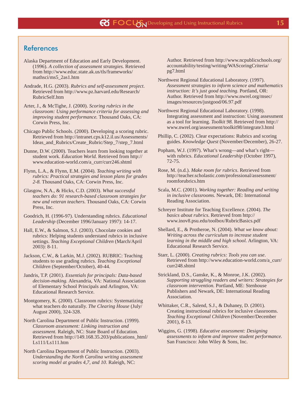## **References**

- Alaska Department of Education and Early Development. (1996). *A collection of assessment strategies.* Retrieved from http://www.educ.state.ak.us/tls/frameworks/ mathsci/ms5\_2as1.htm
- Andrade, H.G. (2003). *Rubrics and self-assessment project*. Retrieved from http://www.pz.harvard.edu/Research/ RubricSelf.htm

Arter, J., & McTighe, J. (2000). *Scoring rubrics in the classroom: Using performance criteria for assessing and improving student performance.* Thousand Oaks, CA: Corwin Press, Inc.

Chicago Public Schools. (2000). Developing a scoring rubric. Retrieved from http://intranet.cps.k12.il.us/Assessments/ Ideas\_and\_Rubrics/Create\_Rubric/Step\_7/step\_7.html

- Dunne, D.W. (2000). Teachers learn from looking together at student work. *Education World.* Retrieved from http:// www.education-world.com/a\_curr/curr246.shtml
- Flynn, L.A., & Flynn, E.M. (2004). *Teaching writing with rubrics: Practical strategies and lesson plans for grades 2-8.* Thousand Oaks, CA: Corwin Press, Inc.
- Glasgow, N.A., & Hicks, C.D. (2003). *What successful teachers do: 91 research-based classroom strategies for new and veteran teachers.* Thousand Oaks, CA: Corwin Press, Inc.
- Goodrich, H. (1996-97). Understanding rubrics. *Educational Leadership* (December 1996/January 1997): 14-17.
- Hall, E.W., & Salmon, S.J. (2003). Chocolate cookies and rubrics: Helping students understand rubrics in inclusive settings. *Teaching Exceptional Children* (March/April 2003): 8-11.
- Jackson, C.W., & Larkin, M.J. (2002). RUBRIC: Teaching students to use grading rubrics. *Teaching Exceptional Children* (September/October), 40-44.
- Jandris, T.P. (2001). *Essentials for principals: Data-based decision-making.* Alexandria, VA: National Association of Elementary School Principals and Arlington, VA: Educational Research Service.
- Montgomery, K. (2000). Classroom rubrics: Systematizing what teachers do naturally. *The Clearing House* (July/ August 2000), 324-328.
- North Carolina Department of Public Instruction. (1999). *Classroom assessment: Linking instruction and assessment.* Raleigh, NC: State Board of Education. Retrieved from http://149.168.35.203/publications\_html/ Ls111/Ls111.htm
- North Carolina Department of Public Instruction. (2003). *Understanding the North Carolina writing assessment scoring model at grades 4,7, and 10*. Raleigh, NC:

Author. Retrieved from http://www.ncpublicschools.org/ accountability/testing/writing/WAScoringCriteria/ pg7.html

- Northwest Regional Educational Laboratory. (1997). *Assessment strategies to inform science and mathematics instruction: It's just good teaching*. Portland, OR: Author. Retrieved from http://www.nwrel.org/msec/ images/resources/justgood/06.97.pdf
- Northwest Regional Educational Laboratory. (1998). Integrating assessment and instruction: Using assessment as a tool for learning. *Toolkit 98.* Retrieved from http:// www.nwrel.org/assessment/toolkit98/integrate3.html
- Phillip, C. (2002). Clear expectations: Rubrics and scoring guides. *Knowledge Quest* (November/December), 26-27.
- Popham, W.J. (1997). What's wrong—and what's right with rubrics. *Educational Leadership* (October 1997), 72-75.
- Rose, M. (n.d.). *Make room for rubrics*. Retrieved from http://teacher.scholastic.com/professional/assessment/ roomforubrics.htm
- Scala, M.C. (2001). *Working together: Reading and writing in inclusive classrooms.* Newark, DE: International Reading Association.
- Schreyer Institute for Teaching Excellence. (2004). *The basics about rubrics*. Retrieved from http:// www.inov8.psu.edu/toolbox/RubricBasics.pdf
- Shellard, E., & Protheroe, N. (2004). *What we know about: Writing across the curriculum to increase student learning in the middle and high school.* Arlington, VA: Educational Research Service.
- Starr, L. (2000). *Creating rubrics: Tools you can use*. Retrieved from http://www.education-world.com/a\_curr/ curr248.shtml
- Strickland, D.S., Ganske, K., & Monroe, J.K. (2002). *Supporting struggling readers and writers: Strategies for classroom intervention.* Portland, ME: Stenhouse Publishers and Newark, DE: International Reading Association.
- Whittaker, C.R., Salend, S.J., & Duhaney, D. (2001). Creating instructional rubrics for inclusive classrooms. *Teaching Exceptional Children* (November/December 2001), 8-13.
- Wiggins, G. (1998). *Educative assessment: Designing assessments to inform and improve student performance.* San Francisco: John Wiley & Sons, Inc.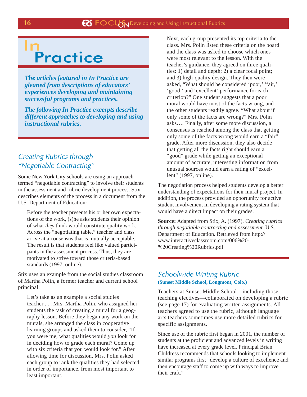## **Practice** In

*The articles featured in In Practice are gleaned from descriptions of educators' experiences developing and maintaining successful programs and practices.*

*The following In Practice excerpts describe different approaches to developing and using instructional rubrics.*

## Creating Rubrics through "Negotiable Contracting"

Some New York City schools are using an approach termed "negotiable contracting" to involve their students in the assessment and rubric development process. Stix describes elements of the process in a document from the U.S. Department of Education:

Before the teacher presents his or her own expectations of the work, (s)he asks students their opinion of what *they* think would constitute quality work. Across the "negotiating table," teacher and class arrive at a consensus that is mutually acceptable. The result is that students feel like valued participants in the assessment process. Thus, they are motivated to strive toward those criteria-based standards (1997, online).

Stix uses an example from the social studies classroom of Martha Polin, a former teacher and current school principal:

Let's take as an example a social studies teacher . . . Mrs. Martha Polin, who assigned her students the task of creating a mural for a geography lesson. Before they began any work on the murals, she arranged the class in cooperative learning groups and asked them to consider, "If you were me, what qualities would *you* look for in deciding how to grade each mural? Come up with six criteria that you would look for." After allowing time for discussion, Mrs. Polin asked each group to rank the qualities they had selected in order of importance, from most important to least important.

Next, each group presented its top criteria to the class. Mrs. Polin listed these criteria on the board and the class was asked to choose which ones were most relevant to the lesson. With the teacher's guidance, they agreed on three qualities: 1) detail and depth; 2) a clear focal point; and 3) high-quality design. They then were asked, "What should be considered 'poor,' 'fair,' 'good,' and 'excellent' performance for each criterion?" One student suggests that a poor mural would have most of the facts wrong, and the other students readily agree. "What about if only some of the facts are wrong?" Mrs. Polin asks…. Finally, after some more discussion, a consensus is reached among the class that getting only some of the facts wrong would earn a "fair" grade. After more discussion, they also decide that getting all the facts right should earn a "good" grade while getting an exceptional amount of accurate, interesting information from unusual sources would earn a rating of "excellent" (1997, online).

The negotiation process helped students develop a better understanding of expectations for their mural project. In addition, the process provided an opportunity for active student involvement in developing a rating system that would have a direct impact on their grades.

**Source:** Adapted from Stix, A. (1997). *Creating rubrics through negotiable contracting and assessment.* U.S. Department of Education. Retrieved from http:// www.interactiveclassroom.com/006%20- %20Creating%20Rubrics.pdf

## Schoolwide Writing Rubric **(Sunset Middle School, Longmont, Colo.)**

Teachers at Sunset Middle School—including those teaching electives—collaborated on developing a rubric (see page 17) for evaluating written assignments. All teachers agreed to use the rubric, although language arts teachers sometimes use more detailed rubrics for specific assignments.

Since use of the rubric first began in 2001, the number of students at the proficient and advanced levels in writing have increased at every grade level. Principal Brian Childress recommends that schools looking to implement similar programs first "develop a culture of excellence and then encourage staff to come up with ways to improve their craft."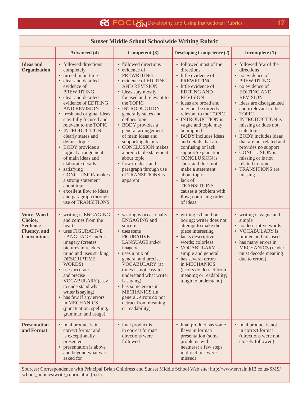Г

| <b>Sunset Middle School Schoolwide Writing Rubric</b>                                   |                                                                                                                                                                                                                                                                                                                                                                                                                                                                                                                                                                                          |                                                                                                                                                                                                                                                                                                                                                                                                                                                                               |                                                                                                                                                                                                                                                                                                                                                                                                                                                                                                                                                                         |                                                                                                                                                                                                                                                                                                                                                                                                                                                   |  |  |  |
|-----------------------------------------------------------------------------------------|------------------------------------------------------------------------------------------------------------------------------------------------------------------------------------------------------------------------------------------------------------------------------------------------------------------------------------------------------------------------------------------------------------------------------------------------------------------------------------------------------------------------------------------------------------------------------------------|-------------------------------------------------------------------------------------------------------------------------------------------------------------------------------------------------------------------------------------------------------------------------------------------------------------------------------------------------------------------------------------------------------------------------------------------------------------------------------|-------------------------------------------------------------------------------------------------------------------------------------------------------------------------------------------------------------------------------------------------------------------------------------------------------------------------------------------------------------------------------------------------------------------------------------------------------------------------------------------------------------------------------------------------------------------------|---------------------------------------------------------------------------------------------------------------------------------------------------------------------------------------------------------------------------------------------------------------------------------------------------------------------------------------------------------------------------------------------------------------------------------------------------|--|--|--|
|                                                                                         | <b>Advanced</b> (4)                                                                                                                                                                                                                                                                                                                                                                                                                                                                                                                                                                      | Competent (3)                                                                                                                                                                                                                                                                                                                                                                                                                                                                 | <b>Developing Competence (2)</b>                                                                                                                                                                                                                                                                                                                                                                                                                                                                                                                                        | Incomplete $(1)$                                                                                                                                                                                                                                                                                                                                                                                                                                  |  |  |  |
| <b>Ideas and</b><br>Organization                                                        | • followed directions<br>completely<br>• turned in on time<br>• clear and detailed<br>evidence of<br><b>PREWRITING</b><br>• clear and detailed<br>evidence of EDITING<br><b>AND REVISION</b><br>• fresh and original ideas<br>stay fully focused and<br>relevant to the TOPIC<br>• INTRODUCTION<br>clearly states and<br>defines topic<br>• BODY provides a<br>logical arrangement<br>of main ideas and<br>elaborate details<br>• satisfying<br><b>CONCLUSION</b> makes<br>a strong statement<br>about topic<br>• excellent flow to ideas<br>and paragraph through<br>use of TRANSITIONS | • followed directions<br>• evidence of<br><b>PREWRITING</b><br>• evidence of EDITING<br><b>AND REVISION</b><br>• ideas stay mostly<br>focused and relevant to<br>the TOPIC<br>• INTRODUCTION<br>generally states and<br>defines topic<br>• BODY provides a<br>general arrangement<br>of main ideas and<br>supporting details<br>• CONCLUSION makes<br>a predictable statement<br>about topic<br>• flow to ideas and<br>paragraph through use<br>of TRANSITIONS is<br>apparent | • followed most of the<br>directions<br>• little evidence of<br><b>PREWRITING</b><br>• little evidence of<br><b>EDITING AND</b><br><b>REVISION</b><br>• ideas are broad and<br>may not be directly<br>relevant to the TOPIC<br>• INTRODUCTION is<br>vague and topic may<br>be implied<br>• BODY includes ideas<br>and details that are<br>confusing or lack<br>support/explanation<br>• CONCLUSION is<br>short and does not<br>make a statement<br>about topic<br>$\bullet$ lack of<br><b>TRANSITIONS</b><br>causes a problem with<br>flow; confusing order<br>of ideas | • followed few of the<br>directions<br>• no evidence of<br><b>PREWRITING</b><br>• no evidence of<br><b>EDITING AND</b><br><b>REVISION</b><br>· ideas are disorganized<br>and irrelevant to the<br><b>TOPIC</b><br>• INTRODUCTION is<br>missing or does not<br>state topic<br>• BODY includes ideas<br>that are not related and<br>provides no support<br>• CONCLUSION is<br>missing or is not<br>related to topic<br>• TRANSITIONS are<br>missing |  |  |  |
| Voice, Word<br>Choice,<br><b>Sentence</b><br><b>Fluency</b> , and<br><b>Conventions</b> | • writing is ENGAGING<br>and comes from the<br>heart<br>• uses FIGURATIVE<br>LANGUAGE and/or<br>imagery (creates<br>pictures in reader s<br>mind and uses striking<br><b>DESCRIPTIVE</b><br>WORDS)<br>• uses accurate<br>and precise<br><b>VOCABULARY</b> (easy<br>to understand what<br>writer is saying)<br>• has few if any errors<br>in MECHANICS<br>(punctuation, spelling,<br>grammar, and usage)                                                                                                                                                                                  | • writing is occasionally<br><b>ENGAGING</b> and<br>sincere<br>• uses some<br><b>FIGURATIVE</b><br>LANGUAGE and/or<br>imagery<br>• uses a mix of<br>general and precise<br><b>VOCABULARY</b> (at<br>times it s not easy to<br>understand what writer<br>is saying)<br>• has some errors in<br><b>MECHANICS</b> (in<br>general, errors do not<br>detract from meaning<br>or readability)                                                                                       | • writing is bland or<br>boring; writer does not<br>attempt to make the<br>piece interesting<br>• lacks descriptive<br>words; colorless<br>• VOCABULARY is<br>simple and general<br>• has several errors<br>in MECHANICS<br>(errors do detract from<br>meaning or readability;<br>tough to understand)                                                                                                                                                                                                                                                                  | • writing is vague and<br>simple<br>• no descriptive words<br>• VOCABULARY is<br>limited and misused<br>• has many errors in<br><b>MECHANICS</b> (reader<br>must decode meaning<br>due to errors)                                                                                                                                                                                                                                                 |  |  |  |
| <b>Presentation</b><br>and Format                                                       | • final product is in<br>correct format and<br>is exceptionally<br>presented<br>• presentation is above<br>and beyond what was<br>asked for                                                                                                                                                                                                                                                                                                                                                                                                                                              | • final product is<br>in correct format/<br>directions were<br>followed                                                                                                                                                                                                                                                                                                                                                                                                       | • final product has some<br>flaws in format/<br>presentation (some<br>problems with<br>neatness; a few steps<br>in directions were<br>missed)                                                                                                                                                                                                                                                                                                                                                                                                                           | • final product is not<br>in correct format<br>(directions were not<br>closely followed)                                                                                                                                                                                                                                                                                                                                                          |  |  |  |

Sources: Correspondence with Principal Brian Childress and Sunset Middle School Web site: http://www.stvrain.k12.co.us/SMS/ school\_policies/write\_rubric.html (n.d.).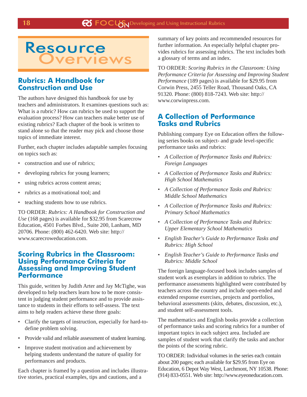

## **Rubrics: A Handbook for Construction and Use**

The authors have designed this handbook for use by teachers and administrators. It examines questions such as: What is a rubric? How can rubrics be used to support the evaluation process? How can teachers make better use of existing rubrics? Each chapter of the book is written to stand alone so that the reader may pick and choose those topics of immediate interest.

Further, each chapter includes adaptable samples focusing on topics such as:

- construction and use of rubrics;
- developing rubrics for young learners;
- using rubrics across content areas;
- rubrics as a motivational tool; and
- teaching students how to use rubrics.

TO ORDER: *Rubrics: A Handbook for Construction and Use* (168 pages) is available for \$32.95 from Scarecrow Education, 4501 Forbes Blvd., Suite 200, Lanham, MD 20706. Phone: (800) 462-6420. Web site: http:// www.scarecroweducation.com.

## **Scoring Rubrics in the Classroom: Using Performance Criteria for Assessing and Improving Student Performance**

This guide, written by Judith Arter and Jay McTighe, was developed to help teachers learn how to be more consistent in judging student performance and to provide assistance to students in their efforts to self-assess. The text aims to help readers achieve these three goals:

- Clarify the targets of instruction, especially for hard-todefine problem solving.
- Provide valid and reliable assessment of student learning.
- Improve student motivation and achievement by helping students understand the nature of quality for performances and products.

Each chapter is framed by a question and includes illustrative stories, practical examples, tips and cautions, and a

summary of key points and recommended resources for further information. An especially helpful chapter provides rubrics for assessing rubrics. The text includes both a glossary of terms and an index.

TO ORDER: *Scoring Rubrics in the Classroom: Using Performance Criteria for Assessing and Improving Student Performance* (189 pages) is available for \$29.95 from Corwin Press, 2455 Teller Road, Thousand Oaks, CA 91320. Phone: (800) 818-7243. Web site: http:// www.corwinpress.com.

## **A Collection of Performance Tasks and Rubrics**

Publishing company Eye on Education offers the following series books on subject- and grade level-specific performance tasks and rubrics:

- *A Collection of Performance Tasks and Rubrics: Foreign Languages*
- *A Collection of Performance Tasks and Rubrics: High School Mathematics*
- *A Collection of Performance Tasks and Rubrics: Middle School Mathematics*
- *A Collection of Performance Tasks and Rubrics: Primary School Mathematics*
- *A Collection of Performance Tasks and Rubrics: Upper Elementary School Mathematics*
- *English Teacher's Guide to Performance Tasks and Rubrics: High School*
- *English Teacher's Guide to Performance Tasks and Rubrics: Middle School*

The foreign language-focused book includes samples of student work as exemplars in addition to rubrics. The performance assessments highlighted were contributed by teachers across the country and include open-ended and extended response exercises, projects and portfolios, behavioral assessments (skits, debates, discussion, etc.), and student self-assessment tools.

The mathematics and English books provide a collection of performance tasks and scoring rubrics for a number of important topics in each subject area. Included are samples of student work that clarify the tasks and anchor the points of the scoring rubric.

TO ORDER: Individual volumes in the series each contain about 200 pages; each available for \$29.95 from Eye on Education, 6 Depot Way West, Larchmont, NY 10538. Phone: (914) 833-0551. Web site: http://www.eyeoneducation.com.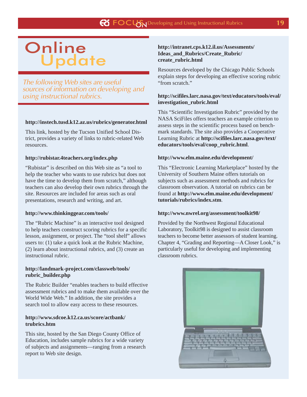# **Update Online**

The following Web sites are useful sources of information on developing and using instructional rubrics.

#### **http://instech.tusd.k12.az.us/rubrics/generator.html**

This link, hosted by the Tucson Unified School District, provides a variety of links to rubric-related Web resources.

#### **http://rubistar.4teachers.org/index.php**

"Rubistar" is described on this Web site as "a tool to help the teacher who wants to use rubrics but does not have the time to develop them from scratch," although teachers can also develop their own rubrics through the site. Resources are included for areas such as oral presentations, research and writing, and art.

#### **http://www.thinkinggear.com/tools/**

The "Rubric Machine" is an interactive tool designed to help teachers construct scoring rubrics for a specific lesson, assignment, or project. The "tool shelf" allows users to: (1) take a quick look at the Rubric Machine, (2) learn about instructional rubrics, and (3) create an instructional rubric.

#### **http://landmark-project.com/classweb/tools/ rubric\_builder.php**

The Rubric Builder "enables teachers to build effective assessment rubrics and to make them available over the World Wide Web." In addition, the site provides a search tool to allow easy access to these resources.

#### **http://www.sdcoe.k12.ca.us/score/actbank/ trubrics.htm**

This site, hosted by the San Diego County Office of Education, includes sample rubrics for a wide variety of subjects and assignments—ranging from a research report to Web site design.

#### **http://intranet.cps.k12.il.us/Assessments/ Ideas\_and\_Rubrics/Create\_Rubric/ create\_rubric.html**

Resources developed by the Chicago Public Schools explain steps for developing an effective scoring rubric "from scratch."

#### **http://scifiles.larc.nasa.gov/text/educators/tools/eval/ investigation\_rubric.html**

This "Scientific Investigation Rubric" provided by the NASA SciFiles offers teachers an example criterion to assess steps in the scientific process based on benchmark standards. The site also provides a Cooperative Learning Rubric at **http://scifiles.larc.nasa.gov/text/ educators/tools/eval/coop\_rubric.html**.

#### **http://www.elm.maine.edu/development/**

This "Electronic Learning Marketplace" hosted by the University of Southern Maine offers tutorials on subjects such as assessment methods and rubrics for classroom observation. A tutorial on rubrics can be found at **http://www.elm.maine.edu/development/ tutorials/rubrics/index.stm**.

#### **http://www.nwrel.org/assessment/toolkit98/**

Provided by the Northwest Regional Educational Laboratory, Toolkit98 is designed to assist classroom teachers to become better assessors of student learning. Chapter 4, "Grading and Reporting—A Closer Look," is particularly useful for developing and implementing classroom rubrics.

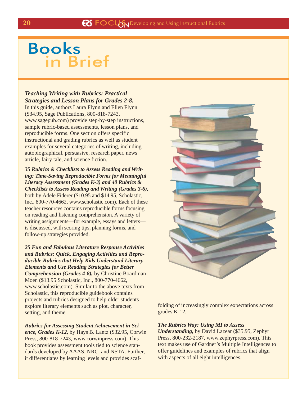## Books in Brief

## *Teaching Writing with Rubrics: Practical Strategies and Lesson Plans for Grades 2-8.*

In this guide, authors Laura Flynn and Ellen Flynn (\$34.95, Sage Publications, 800-818-7243, www.sagepub.com) provide step-by-step instructions, sample rubric-based assessments, lesson plans, and reproducible forms. One section offers specific instructional and grading rubrics as well as student examples for several categories of writing, including autobiographical, persuasive, research paper, news article, fairy tale, and science fiction.

*35 Rubrics & Checklists to Assess Reading and Writing: Time-Saving Reproducible Forms for Meaningful Literacy Assessment (Grades K-3) and 40 Rubrics & Checklists to Assess Reading and Writing (Grades 3-6),* both by Adele Fiderer (\$10.95 and \$14.95, Scholastic, Inc., 800-770-4662, www.scholastic.com). Each of these teacher resources contains reproducible forms focusing on reading and listening comprehension. A variety of writing assignments—for example, essays and letters is discussed, with scoring tips, planning forms, and follow-up strategies provided.

*25 Fun and Fabulous Literature Response Activities and Rubrics: Quick, Engaging Activities and Reproducible Rubrics that Help Kids Understand Literary Elements and Use Reading Strategies for Better Comprehension (Grades 4-8),* by Christine Boardman Moen (\$13.95 Scholastic, Inc., 800-770-4662, www.scholastic.com). Similar to the above texts from Scholastic, this reproducible guidebook contains projects and rubrics designed to help older students explore literary elements such as plot, character, setting, and theme.

*Rubrics for Assessing Student Achievement in Science, Grades K-12,* by Hays B. Lantz (\$32.95, Corwin Press, 800-818-7243, www.corwinpress.com). This book provides assessment tools tied to science standards developed by AAAS, NRC, and NSTA. Further, it differentiates by learning levels and provides scaf-



folding of increasingly complex expectations across grades K-12.

#### *The Rubrics Way: Using MI to Assess*

*Understanding,* by David Lazear (\$35.95, Zephyr Press, 800-232-2187, www.zephyrpress.com). This text makes use of Gardner's Multiple Intelligences to offer guidelines and examples of rubrics that align with aspects of all eight intelligences.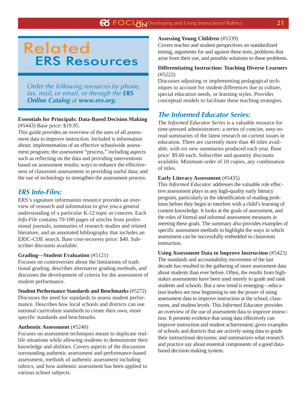## Related ERS Resources

Order the following resources by phone, fax, mail, or email, or through the **ERS Online Catalog** at **www.ers.org.**

#### **Essentials for Principals: Data-Based Decision Making** (#5443) Base price: \$19.95.

This guide provides an overview of the uses of all assessment data to improve instruction. Included is information about: implementation of an effective schoolwide assessment program; the assessment "process," including aspects such as reflecting on the data and providing interventions based on assessment results; ways to enhance the effectiveness of classroom assessments in providing useful data; and the use of technology to strengthen the assessment process.

## **ERS Info-Files:**

ERS's signature information resource provides an overview of research and information to give you a general understanding of a particular K-12 topic or concern. Each *Info-File* contains 70-100 pages of articles from professional journals, summaries of research studies and related literature, and an annotated bibliography that includes an ERIC-CIJE search. Base cost-recovery price: \$40. Subscriber discounts available.

## **Grading—Student Evaluation** (#5121)

Focuses on controversies about the limitations of traditional grading, describes alternative grading methods, and discusses the development of criteria for the assessment of student performance.

**Student Performance Standards and Benchmarks** (#5272) Discusses the need for standards to assess student performance. Describes how local schools and districts can use national curriculum standards to create their own, more specific standards and benchmarks.

#### **Authentic Assessment** (#5240)

Focuses on assessment techniques meant to duplicate reallife situations while allowing students to demonstrate their knowledge and abilities. Covers aspects of the discussion surrounding authentic assessment and performance-based assessment, methods of authentic assessment including rubrics, and how authentic assessment has been applied to various school subjects.

#### **Assessing Young Children** (#5339)

Covers teacher and student perspectives on standardized testing, arguments for and against these tests, problems that arise from their use, and possible solutions to these problems.

#### **Differentiating Instruction: Teaching Diverse Learners** (#5222)

Discusses adjusting or implementing pedagogical techniques to account for student differences due to culture, special education needs, or learning styles. Provides conceptual models to facilitate these teaching strategies.

## **The Informed Educator Series:**

The *Informed Educator Series* is a valuable resource for time-pressed administrators: a series of concise, easy-toread summaries of the latest research on current issues in education. There are currently more than 40 titles available, with six new summaries produced each year. Base price: \$9.60 each. Subscriber and quantity discounts available. Minimum order of 10 copies, any combination of titles.

### **Early Literacy Assessment** (#5435)

This *Informed Educator* addresses the valuable role effective assessment plays in any high-quality early literacy program, particularly in the identification of reading problems before they begin to interfere with a child's learning of content knowledge. It looks at the goals of assessment, and the roles of formal and informal assessment measures in meeting these goals. The summary also provides examples of specific assessment methods to highlight the ways in which assessment can be successfully embedded in classroom instruction.

#### **Using Assessment Data to Improve Instruction** (#5423)

The standards and accountability movement of the last decade has resulted in the gathering of more assessment data about students than ever before. Often, the results from highstakes assessments have been used merely to grade and rank students and schools. But a new trend is emerging—education leaders are now beginning to see the power of using assessment data to improve instruction at the school, classroom, and student levels. This *Informed Educator* provides an overview of the use of assessment data to improve instruction. It presents evidence that using data effectively can improve instruction and student achievement; gives examples of schools and districts that are actively using data to guide their instructional decisions; and summarizes what research and practice say about essential components of a good databased decision-making system.